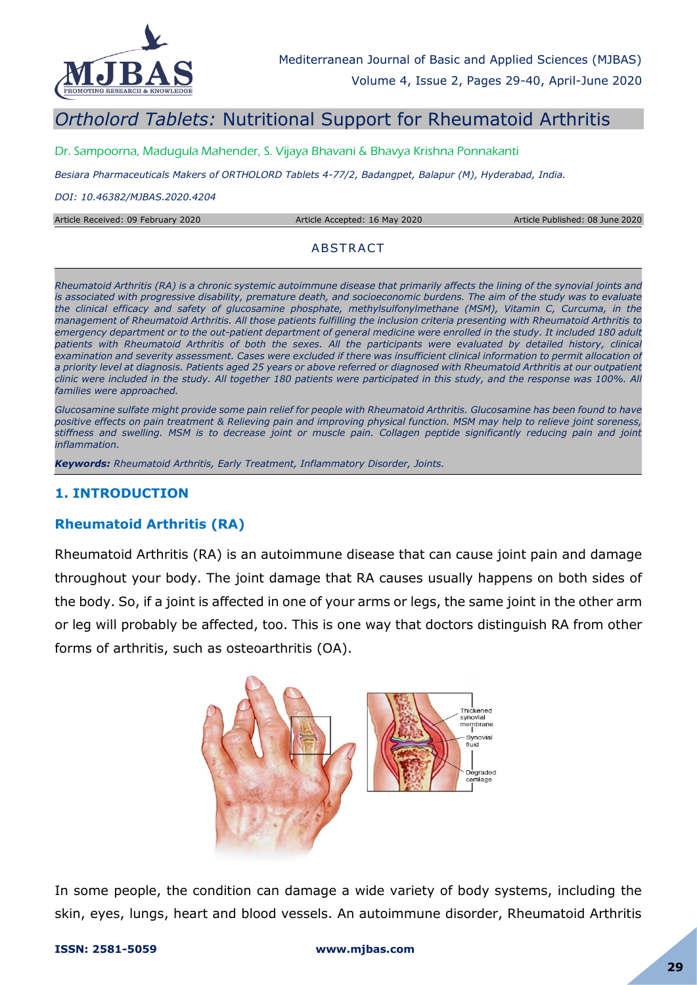

# *Ortholord Tablets:* Nutritional Support for Rheumatoid Arthritis

Dr. Sampoorna, Madugula Mahender, S. Vijaya Bhavani & Bhavya Krishna Ponnakanti

*Besiara Pharmaceuticals Makers of ORTHOLORD Tablets 4-77/2, Badangpet, Balapur (M), Hyderabad, India.*

*DOI: 10.46382/MJBAS.2020.4204*

Article Received: 09 February 2020 Article Accepted: 16 May 2020 Article Published: 08 June 2020

#### **ABSTRACT**

*Rheumatoid Arthritis (RA) is a chronic systemic autoimmune disease that primarily affects the lining of the synovial joints and is associated with progressive disability, premature death, and socioeconomic burdens. The aim of the study was to evaluate the clinical efficacy and safety of glucosamine phosphate, methylsulfonylmethane (MSM), Vitamin C, Curcuma, in the management of Rheumatoid Arthritis. All those patients fulfilling the inclusion criteria presenting with Rheumatoid Arthritis to*  emergency department or to the out-patient department of general medicine were enrolled in the study. It included 180 adult patients with Rheumatoid Arthritis of both the sexes. All the participants were evaluated by detailed history, clinical *examination and severity assessment. Cases were excluded if there was insufficient clinical information to permit allocation of a priority level at diagnosis. Patients aged 25 years or above referred or diagnosed with Rheumatoid Arthritis at our outpatient clinic were included in the study. All together 180 patients were participated in this study, and the response was 100%. All families were approached.* 

*Glucosamine sulfate might provide some pain relief for people with Rheumatoid Arthritis. Glucosamine has been found to have positive effects on pain treatment & Relieving pain and improving physical function. MSM may help to relieve joint soreness, stiffness and swelling. MSM is to decrease joint or muscle pain. Collagen peptide significantly reducing pain and joint inflammation.* 

*Keywords: Rheumatoid Arthritis, Early Treatment, Inflammatory Disorder, Joints.*

## **1. INTRODUCTION**

## **Rheumatoid Arthritis (RA)**

Rheumatoid Arthritis (RA) is an autoimmune disease that can cause joint pain and damage throughout your body. The joint damage that RA causes usually happens on both sides of the body. So, if a joint is affected in one of your arms or legs, the same joint in the other arm or leg will probably be affected, too. This is one way that doctors distinguish RA from other forms of arthritis, such as osteoarthritis (OA).



In some people, the condition can damage a wide variety of body systems, including the skin, eyes, lungs, heart and blood vessels. An autoimmune disorder, Rheumatoid Arthritis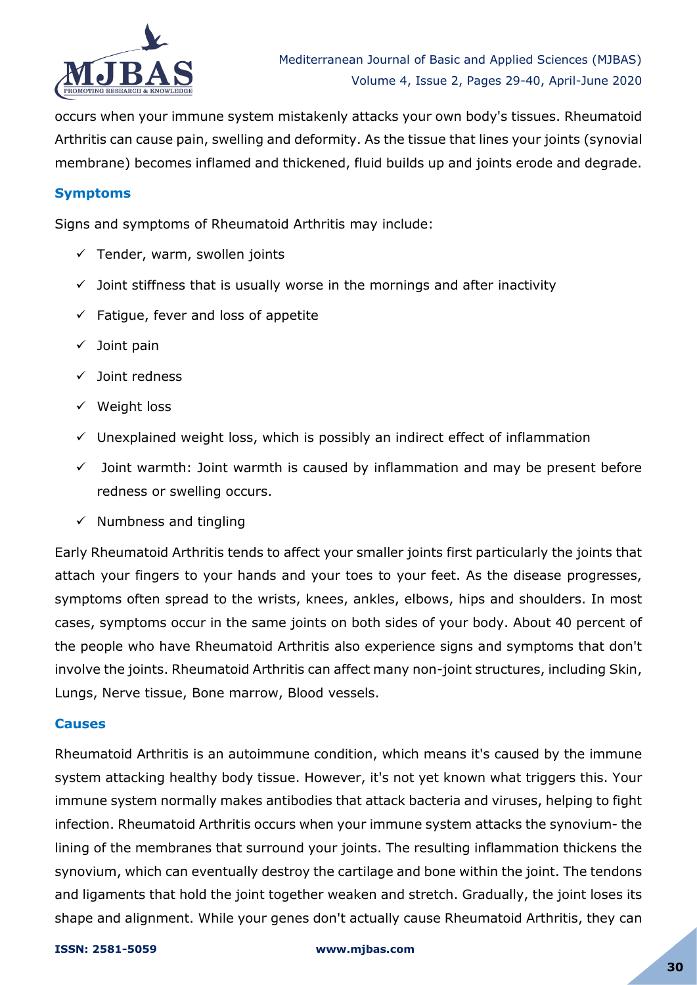

occurs when your immune system mistakenly attacks your own body's tissues. Rheumatoid Arthritis can cause pain, swelling and deformity. As the tissue that lines your joints (synovial membrane) becomes inflamed and thickened, fluid builds up and joints erode and degrade.

## **Symptoms**

Signs and symptoms of Rheumatoid Arthritis may include:

- $\checkmark$  Tender, warm, swollen joints
- $\checkmark$  Joint stiffness that is usually worse in the mornings and after inactivity
- $\checkmark$  Fatigue, fever and loss of appetite
- $\checkmark$  Joint pain
- $\checkmark$  Joint redness
- $\checkmark$  Weight loss
- $\checkmark$  Unexplained weight loss, which is possibly an indirect effect of inflammation
- $\checkmark$  Joint warmth: Joint warmth is caused by inflammation and may be present before redness or swelling occurs.
- $\checkmark$  Numbness and tingling

Early Rheumatoid Arthritis tends to affect your smaller joints first particularly the joints that attach your fingers to your hands and your toes to your feet. As the disease progresses, symptoms often spread to the wrists, knees, ankles, elbows, hips and shoulders. In most cases, symptoms occur in the same joints on both sides of your body. About 40 percent of the people who have Rheumatoid Arthritis also experience signs and symptoms that don't involve the joints. Rheumatoid Arthritis can affect many non-joint structures, including Skin, Lungs, Nerve tissue, Bone marrow, Blood vessels.

## **Causes**

Rheumatoid Arthritis is an autoimmune condition, which means it's caused by the immune system attacking healthy body tissue. However, it's not yet known what triggers this. Your immune system normally makes antibodies that attack bacteria and viruses, helping to fight infection. Rheumatoid Arthritis occurs when your immune system attacks the synovium- the lining of the membranes that surround your joints. The resulting inflammation thickens the synovium, which can eventually destroy the cartilage and bone within the joint. The tendons and ligaments that hold the joint together weaken and stretch. Gradually, the joint loses its shape and alignment. While your genes don't actually cause Rheumatoid Arthritis, they can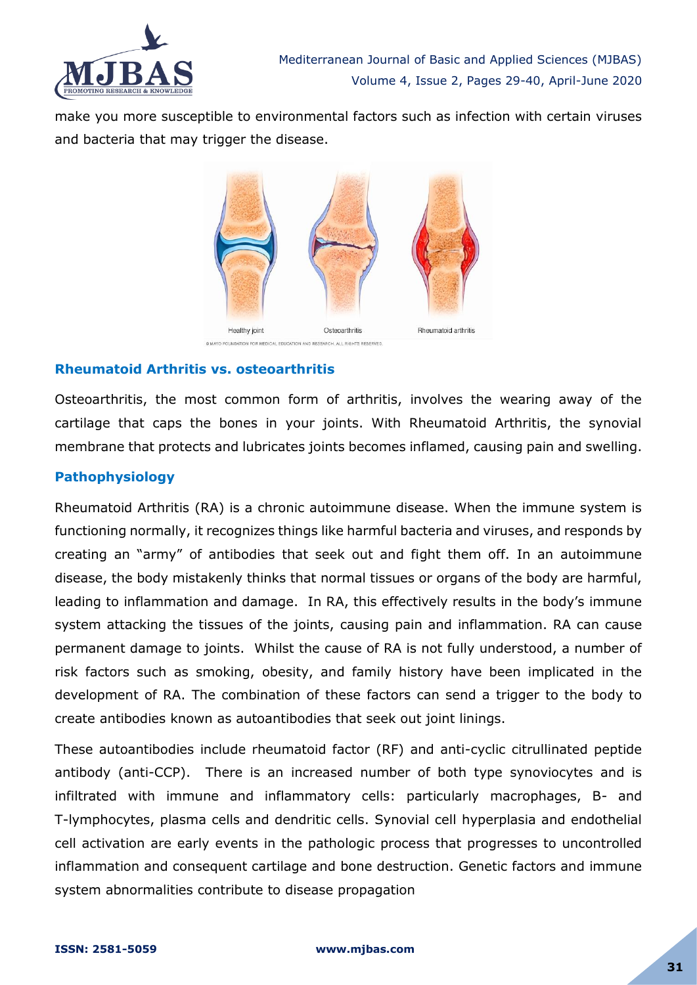

make you more susceptible to environmental factors such as infection with certain viruses and bacteria that may trigger the disease.



## **Rheumatoid Arthritis vs. osteoarthritis**

Osteoarthritis, the most common form of arthritis, involves the wearing away of the cartilage that caps the bones in your joints. With Rheumatoid Arthritis, the synovial membrane that protects and lubricates joints becomes inflamed, causing pain and swelling.

## **Pathophysiology**

Rheumatoid Arthritis (RA) is a chronic autoimmune disease. When the immune system is functioning normally, it recognizes things like harmful bacteria and viruses, and responds by creating an "army" of antibodies that seek out and fight them off. In an autoimmune disease, the body mistakenly thinks that normal tissues or organs of the body are harmful, leading to inflammation and damage. In RA, this effectively results in the body's immune system attacking the tissues of the joints, causing pain and inflammation. RA can cause permanent damage to joints. Whilst the cause of RA is not fully understood, a number of risk factors such as smoking, obesity, and family history have been implicated in the development of RA. The combination of these factors can send a trigger to the body to create antibodies known as autoantibodies that seek out joint linings.

These autoantibodies include rheumatoid factor (RF) and anti-cyclic citrullinated peptide antibody (anti-CCP). There is an increased number of both type synoviocytes and is infiltrated with immune and inflammatory cells: particularly macrophages, B- and T-lymphocytes, plasma cells and dendritic cells. Synovial cell hyperplasia and endothelial cell activation are early events in the pathologic process that progresses to uncontrolled inflammation and consequent cartilage and bone destruction. Genetic factors and immune system abnormalities contribute to disease propagation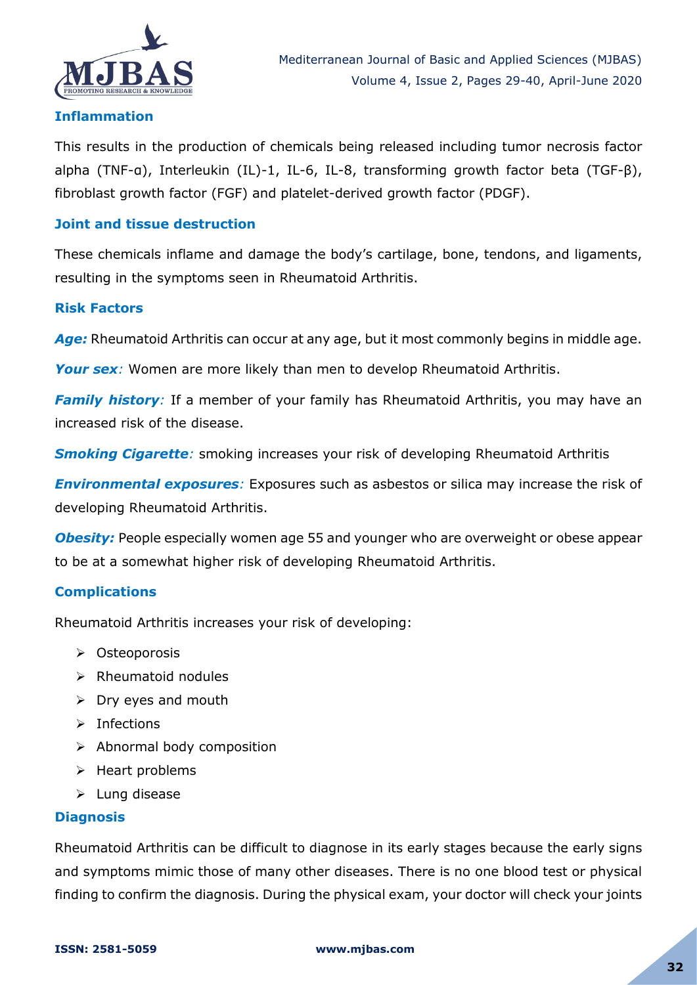

## **Inflammation**

This results in the production of chemicals being released including tumor necrosis factor alpha (TNF-α), Interleukin (IL)-1, IL-6, IL-8, transforming growth factor beta (TGF-β), fibroblast growth factor (FGF) and platelet-derived growth factor (PDGF).

## **Joint and tissue destruction**

These chemicals inflame and damage the body's cartilage, bone, tendons, and ligaments, resulting in the symptoms seen in Rheumatoid Arthritis.

## **Risk Factors**

Age: Rheumatoid Arthritis can occur at any age, but it most commonly begins in middle age.

**Your sex**: Women are more likely than men to develop Rheumatoid Arthritis.

*Family history:* If a member of your family has Rheumatoid Arthritis, you may have an increased risk of the disease.

**Smoking Cigarette**: smoking increases your risk of developing Rheumatoid Arthritis

**Environmental exposures**: Exposures such as asbestos or silica may increase the risk of developing Rheumatoid Arthritis.

*Obesity:* People especially women age 55 and younger who are overweight or obese appear to be at a somewhat higher risk of developing Rheumatoid Arthritis.

## **Complications**

Rheumatoid Arthritis increases your risk of developing:

- Osteoporosis
- $\triangleright$  Rheumatoid nodules
- $\triangleright$  Dry eyes and mouth
- $\triangleright$  Infections
- $\triangleright$  Abnormal body composition
- $\triangleright$  Heart problems
- $\blacktriangleright$  Lung disease

#### **Diagnosis**

Rheumatoid Arthritis can be difficult to diagnose in its early stages because the early signs and symptoms mimic those of many other diseases. There is no one blood test or physical finding to confirm the diagnosis. During the physical exam, your doctor will check your joints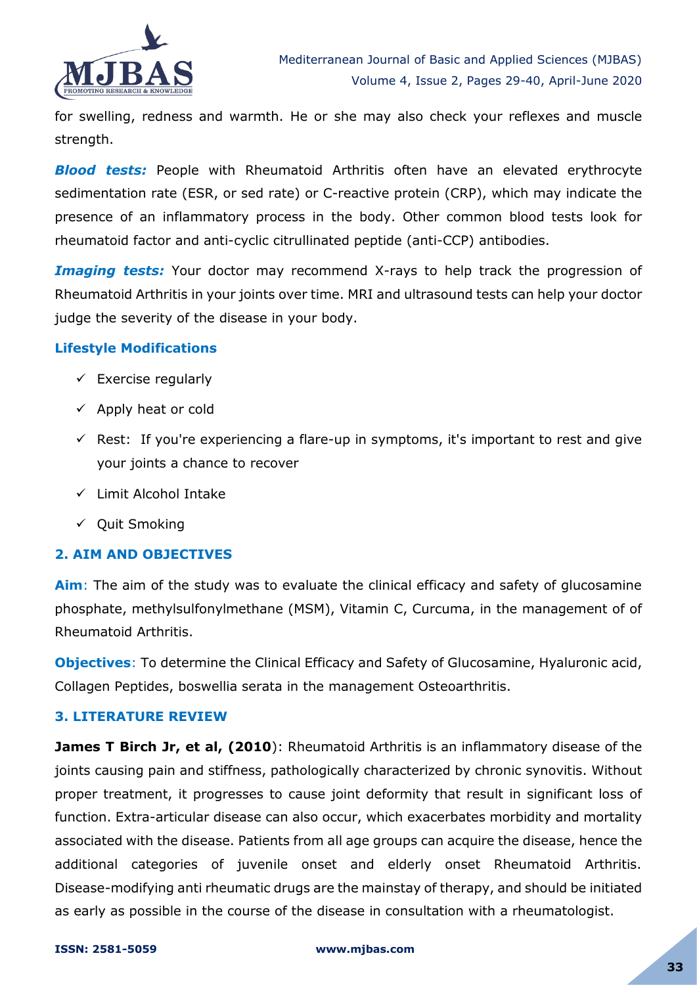

for swelling, redness and warmth. He or she may also check your reflexes and muscle strength.

**Blood tests:** People with Rheumatoid Arthritis often have an elevated erythrocyte sedimentation rate (ESR, or sed rate) or C-reactive protein (CRP), which may indicate the presence of an inflammatory process in the body. Other common blood tests look for rheumatoid factor and anti-cyclic citrullinated peptide (anti-CCP) antibodies.

*Imaging tests:* Your doctor may recommend X-rays to help track the progression of Rheumatoid Arthritis in your joints over time. MRI and ultrasound tests can help your doctor judge the severity of the disease in your body.

## **Lifestyle Modifications**

- $\checkmark$  Exercise regularly
- $\checkmark$  Apply heat or cold
- $\checkmark$  Rest: If you're experiencing a flare-up in symptoms, it's important to rest and give your joints a chance to recover
- $\checkmark$  Limit Alcohol Intake
- $\checkmark$  Quit Smoking

## **2. AIM AND OBJECTIVES**

**Aim**: The aim of the study was to evaluate the clinical efficacy and safety of glucosamine phosphate, methylsulfonylmethane (MSM), Vitamin C, Curcuma, in the management of of Rheumatoid Arthritis.

**Objectives**: To determine the Clinical Efficacy and Safety of Glucosamine, Hyaluronic acid, Collagen Peptides, boswellia serata in the management Osteoarthritis.

#### **3. LITERATURE REVIEW**

**James T Birch Jr, et al, (2010**): Rheumatoid Arthritis is an inflammatory disease of the joints causing pain and stiffness, pathologically characterized by chronic synovitis. Without proper treatment, it progresses to cause joint deformity that result in significant loss of function. Extra-articular disease can also occur, which exacerbates morbidity and mortality associated with the disease. Patients from all age groups can acquire the disease, hence the additional categories of juvenile onset and elderly onset Rheumatoid Arthritis. Disease-modifying anti rheumatic drugs are the mainstay of therapy, and should be initiated as early as possible in the course of the disease in consultation with a rheumatologist.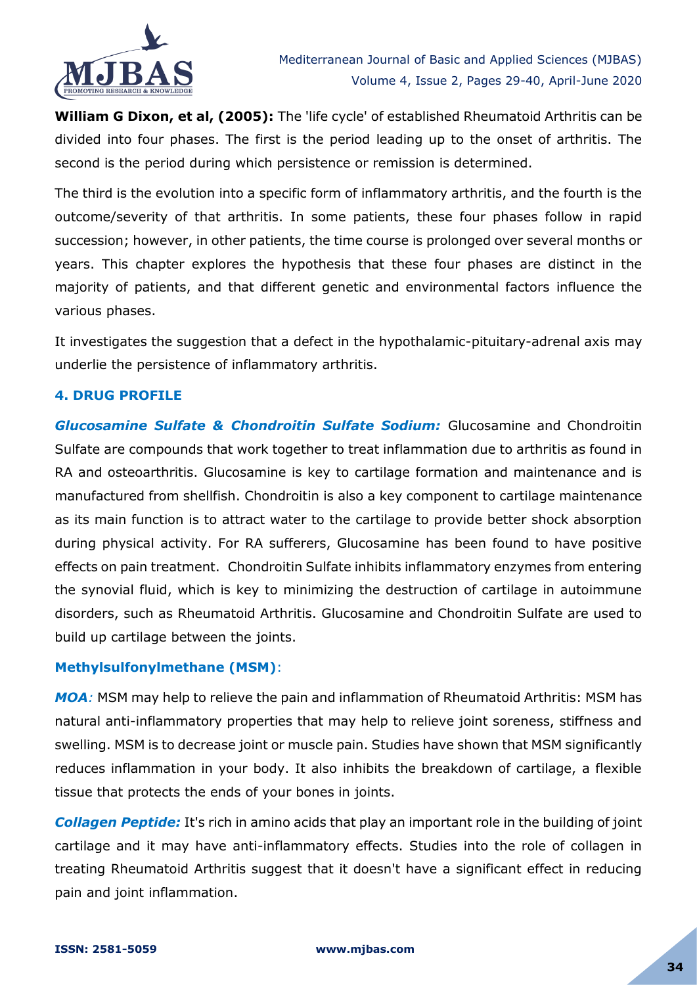

**William G Dixon, et al, (2005):** The 'life cycle' of established Rheumatoid Arthritis can be divided into four phases. The first is the period leading up to the onset of arthritis. The second is the period during which persistence or remission is determined.

The third is the evolution into a specific form of inflammatory arthritis, and the fourth is the outcome/severity of that arthritis. In some patients, these four phases follow in rapid succession; however, in other patients, the time course is prolonged over several months or years. This chapter explores the hypothesis that these four phases are distinct in the majority of patients, and that different genetic and environmental factors influence the various phases.

It investigates the suggestion that a defect in the hypothalamic-pituitary-adrenal axis may underlie the persistence of inflammatory arthritis.

## **4. DRUG PROFILE**

*Glucosamine Sulfate & Chondroitin Sulfate Sodium:* Glucosamine and Chondroitin Sulfate are compounds that work together to treat inflammation due to arthritis as found in RA and osteoarthritis. Glucosamine is key to cartilage formation and maintenance and is manufactured from shellfish. Chondroitin is also a key component to cartilage maintenance as its main function is to attract water to the cartilage to provide better shock absorption during physical activity. For RA sufferers, Glucosamine has been found to have positive effects on pain treatment. Chondroitin Sulfate inhibits inflammatory enzymes from entering the synovial fluid, which is key to minimizing the destruction of cartilage in autoimmune disorders, such as Rheumatoid Arthritis. Glucosamine and Chondroitin Sulfate are used to build up cartilage between the joints.

#### **Methylsulfonylmethane (MSM)**:

*MOA:* MSM may help to relieve the pain and inflammation of Rheumatoid Arthritis: MSM has natural anti-inflammatory properties that may help to relieve joint soreness, stiffness and swelling. MSM is to decrease joint or muscle pain. Studies have shown that MSM significantly reduces inflammation in your body. It also inhibits the breakdown of cartilage, a flexible tissue that protects the ends of your bones in joints.

*Collagen Peptide:* It's rich in amino acids that play an important role in the building of joint cartilage and it may have anti-inflammatory effects. Studies into the role of collagen in treating Rheumatoid Arthritis suggest that it doesn't have a significant effect in reducing pain and joint inflammation.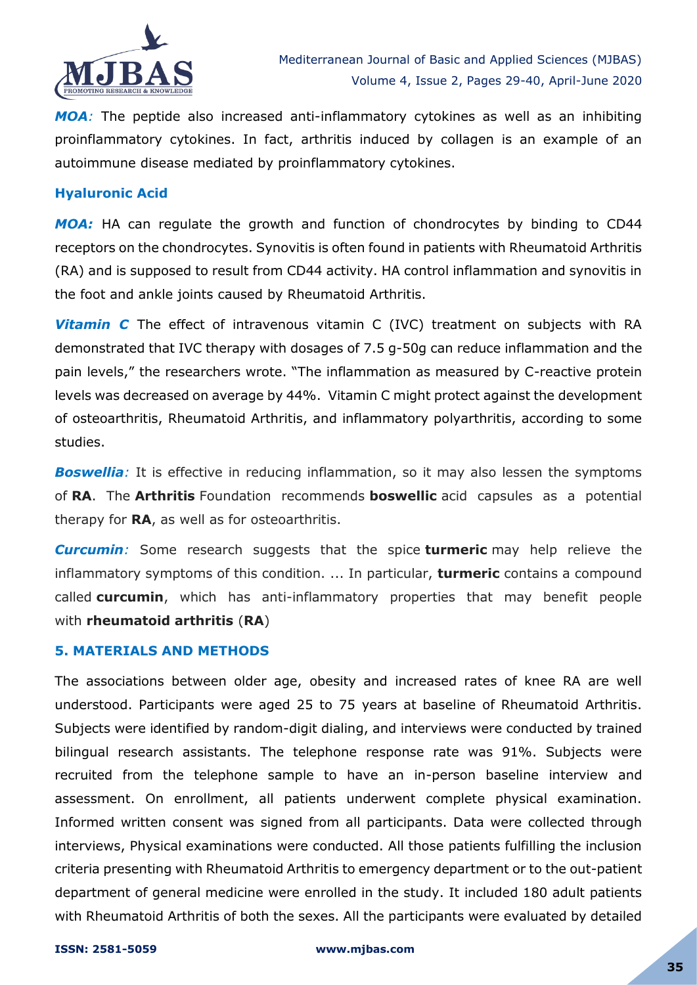

*MOA:* The peptide also increased anti-inflammatory cytokines as well as an inhibiting proinflammatory cytokines. In fact, arthritis induced by collagen is an example of an autoimmune disease mediated by proinflammatory cytokines.

## **Hyaluronic Acid**

*MOA:* HA can regulate the growth and function of chondrocytes by binding to CD44 receptors on the chondrocytes. Synovitis is often found in patients with Rheumatoid Arthritis (RA) and is supposed to result from CD44 activity. HA control inflammation and synovitis in the foot and ankle joints caused by Rheumatoid Arthritis.

**Vitamin C** The effect of intravenous vitamin C (IVC) treatment on subjects with RA demonstrated that IVC therapy with dosages of 7.5 g-50g can reduce inflammation and the pain levels," the researchers wrote. "The inflammation as measured by C-reactive protein levels was decreased on average by 44%. Vitamin C might protect against the development of osteoarthritis, Rheumatoid Arthritis, and inflammatory polyarthritis, according to some studies.

**Boswellia**: It is effective in reducing inflammation, so it may also lessen the symptoms of **RA**. The **Arthritis** Foundation recommends **boswellic** acid capsules as a potential therapy for **RA**, as well as for osteoarthritis.

*Curcumin:* Some research suggests that the spice **turmeric** may help relieve the inflammatory symptoms of this condition. ... In particular, **turmeric** contains a compound called **curcumin**, which has anti-inflammatory properties that may benefit people with **rheumatoid arthritis** (**RA**)

#### **5. MATERIALS AND METHODS**

The associations between older age, obesity and increased rates of knee RA are well understood. Participants were aged 25 to 75 years at baseline of Rheumatoid Arthritis. Subjects were identified by random-digit dialing, and interviews were conducted by trained bilingual research assistants. The telephone response rate was 91%. Subjects were recruited from the telephone sample to have an in-person baseline interview and assessment. On enrollment, all patients underwent complete physical examination. Informed written consent was signed from all participants. Data were collected through interviews, Physical examinations were conducted. All those patients fulfilling the inclusion criteria presenting with Rheumatoid Arthritis to emergency department or to the out-patient department of general medicine were enrolled in the study. It included 180 adult patients with Rheumatoid Arthritis of both the sexes. All the participants were evaluated by detailed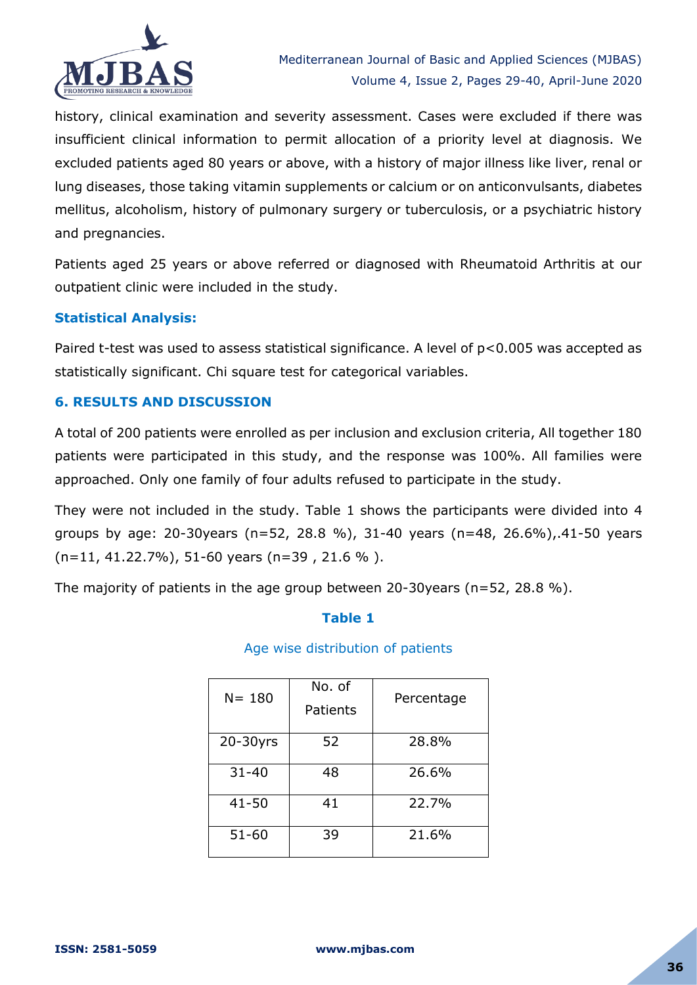

history, clinical examination and severity assessment. Cases were excluded if there was insufficient clinical information to permit allocation of a priority level at diagnosis. We excluded patients aged 80 years or above, with a history of major illness like liver, renal or lung diseases, those taking vitamin supplements or calcium or on anticonvulsants, diabetes mellitus, alcoholism, history of pulmonary surgery or tuberculosis, or a psychiatric history and pregnancies.

Patients aged 25 years or above referred or diagnosed with Rheumatoid Arthritis at our outpatient clinic were included in the study.

## **Statistical Analysis:**

Paired t-test was used to assess statistical significance. A level of p<0.005 was accepted as statistically significant. Chi square test for categorical variables.

## **6. RESULTS AND DISCUSSION**

A total of 200 patients were enrolled as per inclusion and exclusion criteria, All together 180 patients were participated in this study, and the response was 100%. All families were approached. Only one family of four adults refused to participate in the study.

They were not included in the study. Table 1 shows the participants were divided into 4 groups by age: 20-30years (n=52, 28.8 %), 31-40 years (n=48, 26.6%),.41-50 years (n=11, 41.22.7%), 51-60 years (n=39 , 21.6 % ).

The majority of patients in the age group between 20-30years ( $n=52$ , 28.8 %).

## **Table 1**

#### Age wise distribution of patients

| $N = 180$ | No. of<br>Patients | Percentage |
|-----------|--------------------|------------|
| 20-30yrs  | 52                 | 28.8%      |
| $31 - 40$ | 48                 | 26.6%      |
| $41 - 50$ | 41                 | 22.7%      |
| $51 - 60$ | 39                 | 21.6%      |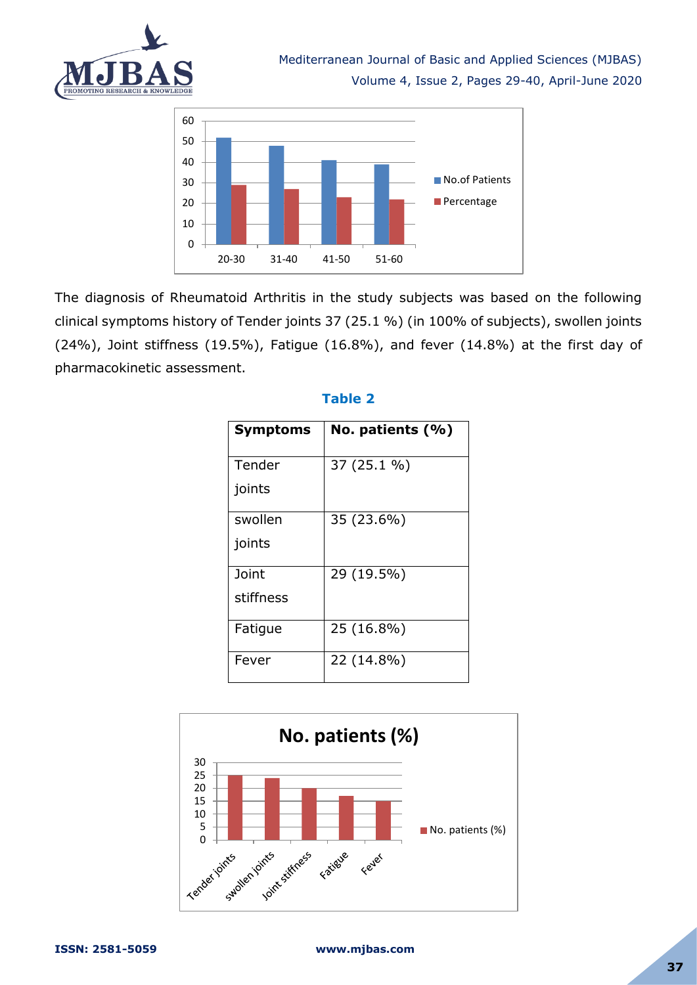



The diagnosis of Rheumatoid Arthritis in the study subjects was based on the following clinical symptoms history of Tender joints 37 (25.1 %) (in 100% of subjects), swollen joints (24%), Joint stiffness (19.5%), Fatigue (16.8%), and fever (14.8%) at the first day of pharmacokinetic assessment.

| Symptoms  | No. patients $(% )$ |
|-----------|---------------------|
| Tender    | 37 (25.1 %)         |
| joints    |                     |
| swollen   | 35 (23.6%)          |
| joints    |                     |
| Joint     | 29 (19.5%)          |
| stiffness |                     |
| Fatigue   | 25 (16.8%)          |
| Fever     | 22 (14.8%)          |

# **Table 2**

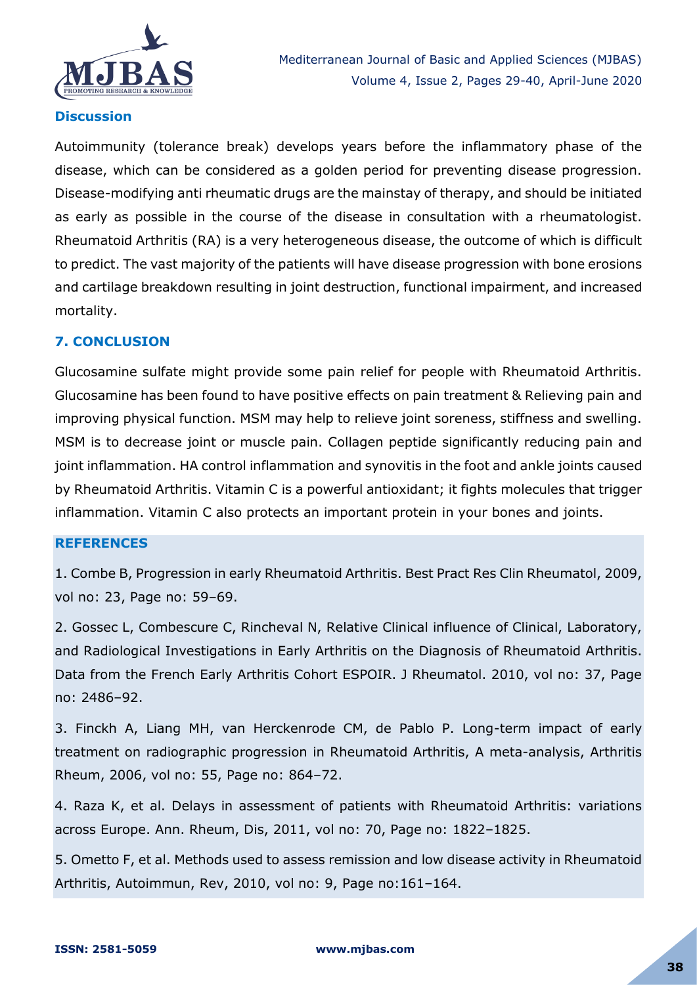

## **Discussion**

Autoimmunity (tolerance break) develops years before the inflammatory phase of the disease, which can be considered as a golden period for preventing disease progression. Disease-modifying anti rheumatic drugs are the mainstay of therapy, and should be initiated as early as possible in the course of the disease in consultation with a rheumatologist. Rheumatoid Arthritis (RA) is a very heterogeneous disease, the outcome of which is difficult to predict. The vast majority of the patients will have disease progression with bone erosions and cartilage breakdown resulting in joint destruction, functional impairment, and increased mortality.

## **7. CONCLUSION**

Glucosamine sulfate might provide some pain relief for people with Rheumatoid Arthritis. Glucosamine has been found to have positive effects on pain treatment & Relieving pain and improving physical function. MSM may help to relieve joint soreness, stiffness and swelling. MSM is to decrease joint or muscle pain. Collagen peptide significantly reducing pain and joint inflammation. HA control inflammation and synovitis in the foot and ankle joints caused by Rheumatoid Arthritis. Vitamin C is a powerful antioxidant; it fights molecules that trigger inflammation. Vitamin C also protects an important protein in your bones and joints.

## **REFERENCES**

1. Combe B, Progression in early Rheumatoid Arthritis. Best Pract Res Clin Rheumatol, 2009, vol no: 23, Page no: 59–69.

2. Gossec L, Combescure C, Rincheval N, Relative Clinical influence of Clinical, Laboratory, and Radiological Investigations in Early Arthritis on the Diagnosis of Rheumatoid Arthritis. Data from the French Early Arthritis Cohort ESPOIR. J Rheumatol. 2010, vol no: 37, Page no: 2486–92.

3. Finckh A, Liang MH, van Herckenrode CM, de Pablo P. Long-term impact of early treatment on radiographic progression in Rheumatoid Arthritis, A meta-analysis, Arthritis Rheum, 2006, vol no: 55, Page no: 864–72.

4. Raza K, et al. Delays in assessment of patients with Rheumatoid Arthritis: variations across Europe. Ann. Rheum, Dis, 2011, vol no: 70, Page no: 1822–1825.

5. Ometto F, et al. Methods used to assess remission and low disease activity in Rheumatoid Arthritis, Autoimmun, Rev, 2010, vol no: 9, Page no:161–164.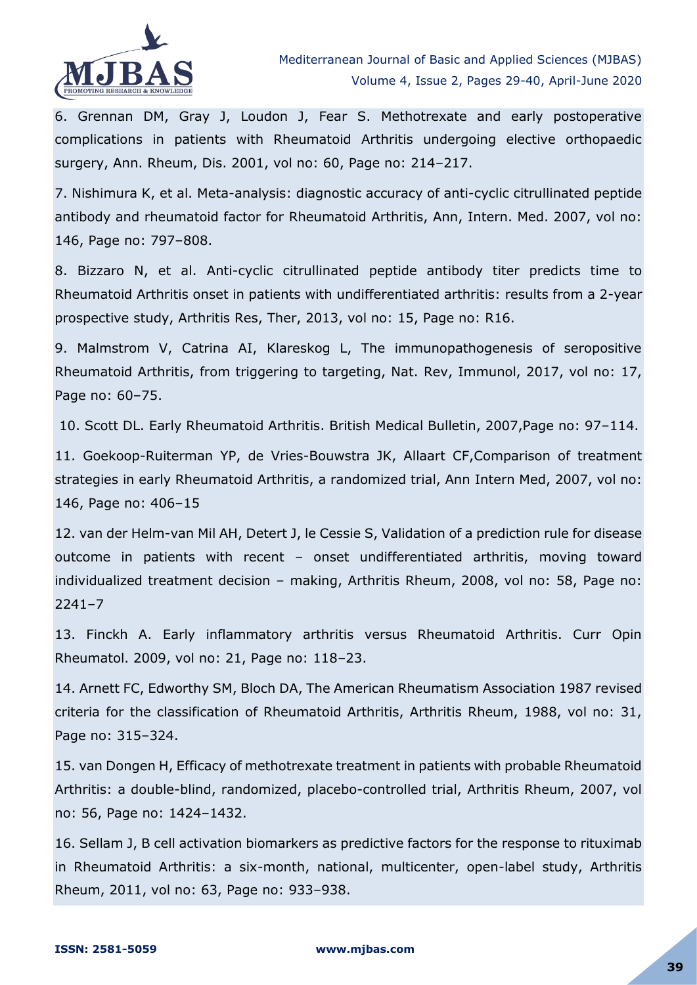

6. Grennan DM, Gray J, Loudon J, Fear S. Methotrexate and early postoperative complications in patients with Rheumatoid Arthritis undergoing elective orthopaedic surgery, Ann. Rheum, Dis. 2001, vol no: 60, Page no: 214–217.

7. Nishimura K, et al. Meta-analysis: diagnostic accuracy of anti-cyclic citrullinated peptide antibody and rheumatoid factor for Rheumatoid Arthritis, Ann, Intern. Med. 2007, vol no: 146, Page no: 797–808.

8. Bizzaro N, et al. Anti-cyclic citrullinated peptide antibody titer predicts time to Rheumatoid Arthritis onset in patients with undifferentiated arthritis: results from a 2-year prospective study, Arthritis Res, Ther, 2013, vol no: 15, Page no: R16.

9. Malmstrom V, Catrina AI, Klareskog L, The immunopathogenesis of seropositive Rheumatoid Arthritis, from triggering to targeting, Nat. Rev, Immunol, 2017, vol no: 17, Page no: 60–75.

10. Scott DL. Early Rheumatoid Arthritis. British Medical Bulletin, 2007,Page no: 97–114.

11. Goekoop-Ruiterman YP, de Vries-Bouwstra JK, Allaart CF,Comparison of treatment strategies in early Rheumatoid Arthritis, a randomized trial, Ann Intern Med, 2007, vol no: 146, Page no: 406–15

12. van der Helm-van Mil AH, Detert J, le Cessie S, Validation of a prediction rule for disease outcome in patients with recent – onset undifferentiated arthritis, moving toward individualized treatment decision – making, Arthritis Rheum, 2008, vol no: 58, Page no: 2241–7

13. Finckh A. Early inflammatory arthritis versus Rheumatoid Arthritis. Curr Opin Rheumatol. 2009, vol no: 21, Page no: 118–23.

14. Arnett FC, Edworthy SM, Bloch DA, The American Rheumatism Association 1987 revised criteria for the classification of Rheumatoid Arthritis, Arthritis Rheum, 1988, vol no: 31, Page no: 315–324.

15. van Dongen H, Efficacy of methotrexate treatment in patients with probable Rheumatoid Arthritis: a double-blind, randomized, placebo-controlled trial, Arthritis Rheum, 2007, vol no: 56, Page no: 1424–1432.

16. Sellam J, B cell activation biomarkers as predictive factors for the response to rituximab in Rheumatoid Arthritis: a six-month, national, multicenter, open-label study, Arthritis Rheum, 2011, vol no: 63, Page no: 933–938.